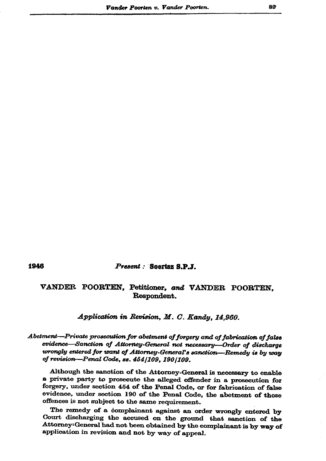## 1946

Present: Soertsz S.P.J.

## VANDER POORTEN, Petitioner, and VANDER POORTEN, Respondent.

Application in Revision, M. C. Kandy, 14,960.

## Abetment-Private prosecution for abetment of forgery and of fabrication of false evidence—Sanction of Attorney-General not necessary—Order of discharge wrongly entered for want of Attorney-General's sanction—Remedy is by way of revision-Penal Code, ss. 454/109, 190/109.

Although the sanction of the Attorney-General is necessary to enable a private party to prosecute the alleged offender in a prosecution for forgery, under section 454 of the Penal Code, or for fabrication of false evidence, under section 190 of the Penal Code, the abetment of those offences is not subject to the same requirement.

The remedy of a complainant against an order wrongly entered by Court discharging the accused on the ground that sanction of the Attorney: General had not been obtained by the complainant is by way of application in revision and not by way of appeal.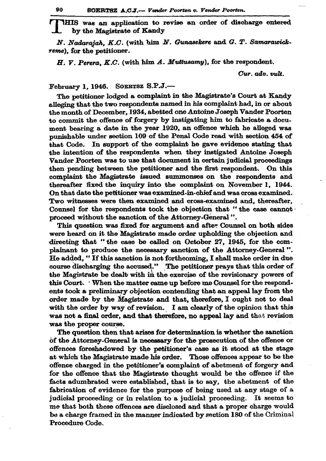SOERTSZ A.C.J.-- Vender Poorten v. Vender Poorten.

THIS was an application to revise an order of discharge entered by the Magistrate of Kandy

N. Nadarajah, K.C. (with him N. Gunasekere and G. T. Samarawickreme), for the petitioner.

H. V. Perera, K.C. (with him A. Muttusamy), for the respondent.

Cur. adv. vult.

February 1, 1946. SOERTSZ S.P.J.-

The petitioner lodged a complaint in the Magistrate's Court at Kandy alleging that the two respondents named in his complaint had, in or about the month of December, 1934, abetted one Antoine Joseph Vander Poorten to commit the offence of forgery by instigating him to fabricate a document bearing a date in the year 1920, an offence which he alleged was punishable under section 109 of the Penal Code read with section 454 of that Code. In support of the complaint he gave evidence stating that the intention of the respondents when they instigated Antoine Joseph Vander Poorten was to use that document in certain judicial proceedings then pending between the petitioner and the first respondent. On this complaint the Magistrate issued summonses on the respondents and thereafter fixed the inquiry into the complaint on November 1, 1944. On that date the petitioner was examined-in-chief and was cross examined. Two witnesses were then examined and cross-examined and, thereafter, Counsel for the respondents took the objection that "the case cannot proceed without the sanction of the Attorney-General".

This question was fixed for argument and after Counsel on both sides were heard on it the Magistrate made order upholding the objection and directing that "the case be called on October 27, 1945, for the complainant to produce the necessary sanction of the Attorney-General". He added, "If this sanction is not forthcoming, I shall make order in due course discharging the accused." The petitioner prays that this order of the Magistrate be dealt with in the exercise of the revisionary powers of this Court. When the matter came up before me Counsel for the respondents took a preliminary objection contending that an appeal lay from the order made by the Magistrate and that, therefore, I ought not to deal with the order by way of revision. I am clearly of the opinion that this was not a final order, and that therefore, no appeal lay and that revision was the proper course.

The question then that arises for determination is whether the sanction of the Attorney-General is necessary for the prosecution of the offence or offences foreshadowed by the petitioner's case as it stood at the stage at which the Magistrate made his order. Those offences appear to be the offence charged in the petitioner's complaint of abetment of forgery and for the offence that the Magistrate thought would be the offence if the facts adumbrated were established, that is to say, the abetment of the fabrication of evidence for the purpose of being used at any stage of a judicial proceeding or in relation to a judicial proceeding. It seems to me that both these offences are disclosed and that a proper charge would be a charge framed in the manner indicated by section 180 of the Criminal Procedure Code.

90